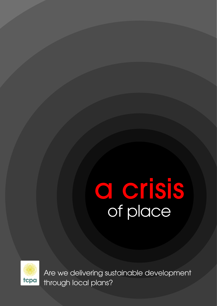## a crisis of place



Are we delivering sustainable development through local plans?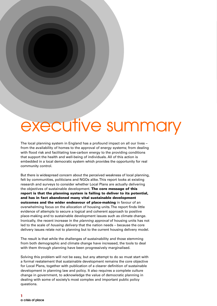## executive summary

The local planning system in England has a profound impact on all our lives – from the availability of homes to the approval of energy systems; from dealing with flood risk and facilitating low-carbon energy to the providing conditions that support the health and well-being of individuals. All of this action is embedded in a local democratic system which provides the opportunity for real community control.

But there is widespread concern about the perceived weakness of local planning, felt by communities, politicians and NGOs alike. This report looks at existing research and surveys to consider whether Local Plans are actually delivering the objectives of sustainable development. **The core message of this report is that the planning system is failing to deliver to its potential, and has in fact abandoned many vital sustainable development outcomes and the wider endeavour of place-making** in favour of an overwhelming focus on the allocation of housing units. The report finds little evidence of attempts to secure a logical and coherent approach to positive place-making and to sustainable development issues such as climate change. Ironically, the recent increase in the planning approval of housing units has not led to the scale of housing delivery that the nation needs – because the core delivery issues relate not to planning but to the current housing delivery model.

The result is that while the challenges of sustainability and those stemming from both demographic and climate change have increased, the tools to deal with them through planning have been progressively marginalised.

Solving this problem will not be easy, but any attempt to do so must start with a formal restatement that sustainable development remains the core objective for Local Plans, together with publication of a clearer definition of sustainable development in planning law and policy. It also requires a complete culture change in government, to acknowledge the value of democratic planning in dealing with some of society's most complex and important public policy questions.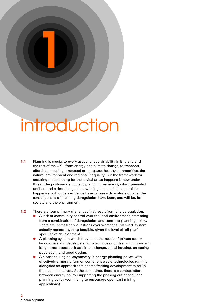## introduction

**1**

- **1.1** Planning is crucial to every aspect of sustainability in England and the rest of the UK – from energy and climate change, to transport, affordable housing, protected green space, healthy communities, the natural environment and regional inequality. But the framework for ensuring that planning for these vital areas happens is now under threat. The post-war democratic planning framework, which prevailed until around a decade ago, is now being dismantled – and this is happening without an evidence base or research analysis of what the consequences of planning deregulation have been, and will be, for society and the environment.
- **1.2** There are four primary challenges that result from this deregulation:
	- A lack of community control over the local environment, stemming from a combination of deregulation and centralist planning policy. There are increasingly questions over whether a 'plan-led' system actually means anything tangible, given the level of 'off-plan' speculative development.
	- A planning system which may meet the needs of private sector landowners and developers but which does not deal with important long-terms issues such as climate change, social housing, an ageing population, and good design.
	- A clear and illogical asymmetry in energy planning policy, with effectively a moratorium on some renewable technologies running alongside an approach that deems fracking development to be 'in the national interest'. At the same time, there is a contradiction between energy policy (supporting the phasing out of coal) and planning policy (continuing to encourage open-cast mining applications).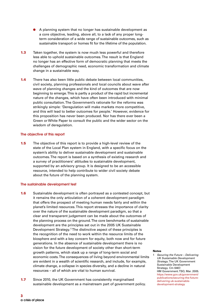- A planning system that no longer has sustainable development as a core objective, leading, above all, to a lack of any proper longterm consideration of a wide range of sustainable outcomes, such as sustainable transport or homes fit for the lifetime of the population.
- **1.3** Taken together, the system is now much less powerful and therefore less able to uphold sustainable outcomes. The result is that England no longer has an effective form of democratic planning that meets the challenges of demographic need, economic transformation and climate change in a sustainable way.
- **1.4** There has also been little public debate between local communities, civil society, planning professionals and local councils about wave after wave of planning changes and the kind of outcomes that are now beginning to emerge. This is partly a product of the rapid but incremental nature of the changes, which have often been introduced with minimal public consultation. The Government's rationale for the reforms was strikingly simple: 'Deregulation will make markets more competitive, and this will lead to better outcomes for people.' However, evidence for this proposition has never been produced. Nor has there ever been a Green or White Paper to consult the public and the wider sector on the wisdom of deregulation.

#### **The objective of this report**

**1.5** The objective of this report is to provide a high-level review of the state of the Local Plan system in England, with a specific focus on the system's ability to deliver sustainable development and sustainable outcomes. The report is based on a synthesis of existing research and a survey of practitioners' attitudes to sustainable development, supported by an advisory group. It is designed to be an accessible resource, intended to help contribute to wider civil society debate about the future of the planning system.

#### **The sustainable development test**

- **1.6** Sustainable development is often portrayed as a contested concept, but it remains the only articulation of a coherent development paradigm that offers the prospect of meeting human needs fairly and within the planet's limited resources. This report stresses the importance of clarity over the nature of the sustainable development paradigm, so that a clear and transparent judgement can be made about the outcomes of the planning process on the ground. The core benchmarks of sustainable development are the principles set out in the 2005 UK Sustainable Development Strategy.<sup>1</sup>The distinctive aspect of these principles is the recognition of the need to work within the resource limits of the biosphere and with a key concern for equity, both now and for future generations. In the absence of sustainable development there is no vision for the future development of society other than short-term growth patterns, which stack up a range of long-term social and economic costs. The consequences of living beyond environmental limits are evident in a wealth of scientific research, and include, for example, climate change, a collapse in species diversity, and a decline in natural resources – all of which are vital to human survival.
- **1.7** Since 2010, the UK Government has consistently marginalised sustainable development as a mainstream part of government policy.

#### **Notes**

Securing the Future - Delivering UK Sustainable Development Strategy. The UK Government Sustainable Development Strategy. Cm 6467. HM Government. TSO, Mar. 2005. https://www.gov.uk/government/ publications/securing-the-futuredelivering-uk-sustainabledevelopment-strategy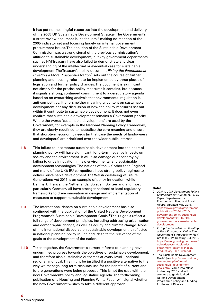It has put no meaningful resources into the development and delivery of the 2005 UK Sustainable Development Strategy. The Government's current review document is inadequate, $2$  making no mention of the 2005 indicator set and focusing largely on internal government procurement issues. The abolition of the Sustainable Development Commission was a strong signal of the previous administration's attitude to sustainable development, but key government departments such as HM Treasury have also failed to demonstrate any clear understanding of the intellectual or evidential case for sustainable development. The Treasury's policy document Fixing the Foundations: Creating a More Prosperous Nation<sup>3</sup> sets out the course of further planning and housing reform, to be implemented by three pieces of legislation and further policy changes. The document is significant not simply for the precise policy measures it contains, but because it signals a strong, continued commitment to a deregulatory agenda based on an overarching analysis that environmental regulation is anti-competitive. It offers neither meaningful content on sustainable development nor any discussion of how the policy measures set out within it contribute to sustainable development. It does not even confirm that sustainable development remains a Government priority. Where the words 'sustainable development' are used by the Government, for example in the National Planning Policy Framework, they are clearly redefined to neutralise the core meaning and ensure that short-term economic needs (in that case the needs of landowners and developers) are prioritised over the wider public interest.

- **1.8** This failure to incorporate sustainable development into the heart of planning policy will have significant, long-term negative impacts on society and the environment. It will also damage our economy by failing to drive innovation in new environmental and sustainable development technologies. The nations of the UK other than England and many of the UK's EU competitors have strong policy regimes to deliver sustainable development. The Welsh Well-being of Future Generations Act 2015 is an example of policy innovation, while Denmark, France, the Netherlands, Sweden, Switzerland and most particularly Germany all have stronger national or local regulatory frameworks to drive innovation in design and implementation of measures to support sustainable development.
- **1.9** The international debate on sustainable development has also continued with the publication of the United Nations Development Programme's Sustainable Development Goals.<sup>4</sup>The 17 goals reflect a full range of development principles, including addressing urbanisation and demographic change, as well as equity and climate change. None of this international discourse on sustainable development is reflected in national planning policy in England, despite the relevance of the goals to the development of the nation.
- **1.10** Taken together, the Government's current reforms to planning have undermined progress towards the objectives of sustainable development, and therefore also sustainable outcomes at every level – national, regional and local. This might be justified if a positive alternative to the way we manage long-term resource use for the benefit of current and future generations were being proposed. This is not the case with the new Government's policy and legislative agenda. The forthcoming publication of a Housing and Planning White Paper will signal whether the new Government wishes to take a different approach.

- 2 2010 to 2015 Government Policy: Sustainable Development. Policy Paper. Department for Environment, Food and Rural Affairs, Updated May 2015. https://www.gov.uk/government/ publications/2010-to-2015 government-policy-sustainabledevelopment/2010-to-2015 government-policy-sustainabledevelopment
- 3 Fixing the Foundations: Creating a More Prosperous Nation. The Government's 'Productivity Plan'. Cm 9098. HM Treasury, Jul. 2015. https://www.gov.uk/government/ uploads/system/uploads/ attachment\_data/file/443898/ Productivity\_Plan\_web.pdf
- 4 The 'Sustainable Development Goals' (see http://www.undp.org/ content/undp/en/home/ sustainable-developmentgoals.html) came into effect in January 2016 and will continue to guide United Nations Development Programme policy and funding for the next 15 years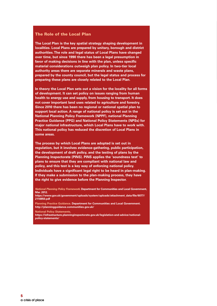### **The Role of the Local Plan**

**The Local Plan is the key spatial strategy shaping development in localities. Local Plans are prepared by unitary, borough and district authorities.The role and legal status of Local Plans have changed over time, but since 1990 there has been a legal presumption in favor of making decisions in line with the plan, unless specific material considerations outweigh plan policy. In two-tier local authority areas there are separate minerals and waste plans, prepared by the county council, but the legal status and process for preparing these plans are closely related to the Local Plan.**

**In theory the Local Plan sets out a vision for the locality for all forms of development. It can set policy on issues ranging from human health to energy use and supply, from housing to transport. It does not cover important land uses related to agriculture and forestry. Since 2010 there has been no regional or national spatial plan to support local action. A range of national policy is set out in the National Planning Policy Framework (NPPF), national Planning Practice Guidance (PPG) and National Policy Statements (NPSs) for major national infrastructure, which Local Plans have to work with. This national policy has reduced the discretion of Local Plans in some areas.**

**The process by which Local Plans are adopted is set out in regulation, but it involves evidence-gathering, public participation, the development of draft policy, and the testing of plans by the Planning Inspectorate (PINS). PINS applies the 'soundness test' to plans to ensure that they are compliant with national law and policy, and this test is a key way of enforcing national policy. Individuals have a significant legal right to be heard in plan-making. If they make a submission to the plan-making process, they have the right to give evidence before the Planning Inspector.**

**National Planning Policy Framework. Department for Communities and Local Government, Mar. 2012.**

**https://www.gov.uk/government/uploads/system/uploads/attachment\_data/file/6077/ 2116950.pdf**

**Planning Practice Guidance. Department for Communities and Local Government. http://planningguidance.communities.gov.uk/**

**National Policy Statements.**

**https://infrastructure.planninginspectorate.gov.uk/legislation-and-advice/nationalpolicy-statements/**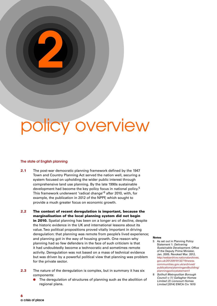## policy overview

#### **The state of English planning**

**2**

- **2.1** The post-war democratic planning framework defined by the 1947 Town and Country Planning Act served the nation well, securing a system focused on upholding the wider public interest through comprehensive land use planning. By the late 1990s sustainable development had become the key policy focus in national policy.<sup>5</sup> This framework underwent 'radical change'<sup>6</sup> after 2010, with, for example, the publication in 2012 of the NPPF, which sought to provide a much greater focus on economic growth.
- **2.2 The context of recent deregulation is important, because the marginalisation of the local planning system did not begin in 2010.** Spatial planning has been on a longer arc of decline, despite the historic evidence in the UK and international lessons about its value. Two political propositions proved vitally important in driving deregulation: that planning was remote from people's lived experience; and planning got in the way of housing growth. One reason why planning had so few defenders in the face of such criticism is that it had undoubtedly become a technocratic and sometimes remote activity. Deregulation was not based on a mass of technical evidence but was driven by a powerful political view that planning was problem for the private sector.
- **2.3** The nature of the deregulation is complex, but in summary it has six components:
	- The deregulation of structures of planning such as the abolition of regional plans.

- 5 As set out in Planning Policy Statement 1: Delivering Sustainable Development. Office of the Deputy Prime Minister, Jan. 2005. Revoked Mar. 2012. http://webarchive.nationalarchives. gov.uk/20120919132719/www. communities.gov.uk/archived/ publications/planningandbuilding/ planningpolicystatement1
- 6 Solihull Metropolitan Borough Council v (1) Gallagher Homes Limited (2) Lioncourt Homes Limited [2014] EWCA Civ 1610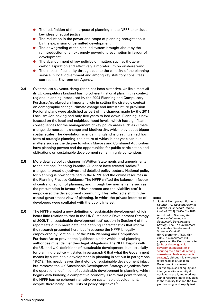- The redefinition of the purpose of planning in the NPPF to exclude key ideas of social justice.
- The reduction in the power and scope of planning brought about by the expansion of permitted development.
- The downgrading of the plan-led system brought about by the re-introduction of an extremely powerful presumption in favour of development.
- The abandonment of key policies on matters such as the zerocarbon aspiration and effectively a moratorium on onshore wind.
- The impact of austerity through cuts to the capacity of the planning service in local government and among key statutory consultees such as the Environment Agency.
- **2.4** Over the last six years, deregulation has been extensive. Unlike almost all its EU competitors England has no coherent national plan. In this context, regional planning introduced by the 2004 Planning and Compulsory Purchase Act played an important role in setting the strategic context on demographic change, climate change and infrastructure provision. Regional plans were abolished as part of the changes made by the 2011 Localism Act, having had only five years to bed down. Planning is now focused on the local and neighbourhood levels, which has significant consequences for the management of key policy areas such as climate change, demographic change and biodiversity, which play out at bigger spatial scales. The devolution agenda in England is creating an ad hoc form of strategic planning, the nature of which is not yet clear, but matters such as the degree to which Mayors and Combined Authorities have planning powers and the opportunities for public participation and obligations on sustainable development remain highly contentious.
- **2.5** More detailed policy changes in Written Statements and amendments to the national Planning Practice Guidance have created 'radical'7 changes to broad objectives and detailed policy sectors. National policy for planning is now contained in the NPPF and the online resources in the Planning Practice Guidance. The NPPF shifted the balance in favour of central direction of planning, and through key mechanisms such as the presumption in favour of development and the 'viability test' it empowered the development community. This reflected a shift in the central government view of planning, in which the private interests of developers were conflated with the public interest.
- **2.6** The NPPF created a new definition of sustainable development which bears little relation to that in the UK Sustainable Development Strategy of 2005. The 'sustainable development test' section in Section 4 of this report sets out in more detail the defining characteristics that inform the research presented here, but in essence the NPPF is legally empowered by Section 39 of the 2004 Planning and Compulsory Purchase Act to provide the 'guidance' under which local planning authorities must deliver their legal obligations. The NPPF begins with the UN and UK $<sup>8</sup>$  definitions of sustainable development, but – crucially</sup> for planning practice – it states in paragraph 6 that what the Government means by sustainable development in planning is set out in paragraphs 18-219. This neatly leaves the rhetoric of sustainable development intact but removes the UK Sustainable Development Strategy objectives from the operational definition of sustainable development in planning, which begins with building a competitive economy. From that point forward, the NPPF has no coherent narrative on sustainable development, despite there being useful lists of policy objectives.<sup>9</sup>

- 7 Solihull Metropolitan Borough Council v (1) Gallagher Homes Limited (2) Lioncourt Homes Limited [2014] EWCA Civ 1610
- 8 As set out in Securing the Future – Delivering UK Sustainable Development Strategy. The UK Government Sustainable Development Strategy. Cm 6467. HM Government. TSO, Mar. 2005. This document still appears on the Gov.uk website (at https://www.gov.uk/ government/publications/ securing-the-future-deliveringuk-sustainable-developmentstrategy), although it is wrongly referenced as a Coalition Government document
- 9 For example, social equity and inter-generational equity do not feature at all, and working within resource limits is subject to the viability test and the fiveyear housing land supply test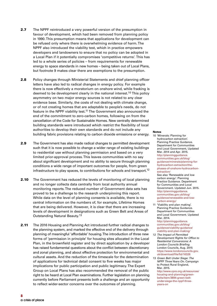- **2.7** The NPPF reintroduced a very powerful version of the presumption in favour of development, which had been removed from planning policy in 1990. This presumption means that applications for development can be refused only where there is overwhelming evidence of harm. The NPPF also introduced the viability test, which in practice empowers developers and landowners to ensure that no policy can be adopted in a Local Plan if it potentially compromises 'competitive returns'. This has led to a whole series of policies – from requirements for renewable energy to space standards in new homes – being taken out of Local Plans, but footnote 9 makes clear there are exemptions to the presumption.
- **2.8** Policy changes through Ministerial Statements and chief planning officer letters have also led to radical changes in energy policy. For example there is now effectively a moratorium on onshore wind, while fracking is deemed to be development clearly in the national interest.<sup>10</sup> This policy asymmetry on two major energy sources is not related to any clear evidence base. Similarly, the costs of not dealing with climate change, or of not creating homes that are adaptable to people's needs, do not feature in the NPPF viability test.<sup>11</sup> The Government also announced the end of the commitment to zero-carbon homes, following on from the cancellation of the Code for Sustainable Homes. New centrally determined building standards were introduced which restrict the flexibility of local authorities to develop their own standards and do not include any building fabric provisions relating to carbon dioxide emissions or energy.
- **2.9** The Government has also made radical changes to permitted development such that it is now possible to change a wider range of existing buildings to residential use without planning permission and based on a very limited prior-approval process. This leaves communities with no say about significant development and no ability to secure through planning conditions a wide range of important outcomes for people, from green infrastructure to play spaces, to contributions for schools and transport.<sup>12</sup>
- **2.10** The Government has reduced the levels of monitoring of local planning and no longer collects data centrally from local authority annual monitoring reports. The reduced number of Government data sets has proved to be a challenge to the research underpinning this report. While data on the level of planning consents is available, there is no central information on the numbers of, for example, Lifetime Homes that are being delivered. However, it is clear that there are increasing levels of development in designations such as Green Belt and Areas of Outstanding Natural Beauty.13
- **2.11** The 2016 Housing and Planning Act introduced further radical changes to the planning system, and marked the effective end of the delivery through planning of meaningful 'affordable' housing. The introduction of three new forms of 'permission in principle' for housing sites allocated in the Local Plan, in the brownfield register and by direct application by a developer has raised fundamental questions about the conflict between discretionary and zonal planning, and about effective protection for environmental and cultural assets. And the reduction of the timescale for the determination of applications for technical detail consent to five weeks has major implications for public participation and public legitimacy. The Expert Group on Local Plans has also recommended the removal of the public right to be heard at Local Plan examinations. Further legislation on planning currently before Parliament presents both a challenge and an opportunity to reflect wider-sector concerns over the outcomes of planning.

#### **Notes**

10 'Minerals: Planning for hydrocarbon extraction'. Planning Practice Guidance. Department for Communities and Local Government, Updated Mar. 2014 and Apr. 2015. http://planningguidance. communities.gov.uk/blog/ guidance/minerals/planning-forhydrocarbon-extraction/thephases-of-onshore-hydrocarbonextraction/ See also 'Renewable and low carbon energy'. Planning Practice Guidance. Department for Communities and Local Government. Updated Jun. 2015. http://planningguidance. communities.gov.uk/blog/

guidance/renewable-and-lowcarbon-energy/

11 'Viability and plan making'. Planning Practice Guidance. Department for Communities and Local Government. Updated Mar. 2014.

http://planningguidance. communities.gov.uk/blog/ guidance/viability-guidance/ viability-and-plan-making/

- 12 The Impact of Permitted Development Rights for Office to Residential Conversions: A London Councils Briefing. London Councils, Aug. 2015 https://www.londoncouncils.gov. uk/download/file/fid/16326
- 13 Green Belt Under Siege: The NPPF Three Years On. Campaign to Protect Rural England, Mar. 2015. http://www.cpre.org.uk/resources/

housing-and-planning/greenbelts/item/3894-green-beltunder-siege-the-nppf-threeyears-on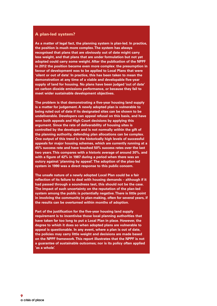#### **A plan-led system?**

**As a matter of legal fact, the planning system is plan-led. In practice, the position is much more complex.The system has always recognised that plans that are obviously out of date might carry less weight, and that plans that are under formulation but not yet adopted could carry some weight. After the publication of the NPPF in 2012 the position became even more complex: the presumption in favour of development was to be applied to Local Plans that were 'silent or out of date'. In practice, this has been taken to mean the demonstration at any time of a viable and developable five-year supply of land for housing. No plans have been judged 'out of date' on carbon dioxide emissions performance, or because they fail to meet wider sustainable development objectives.**

**The problem is that demonstrating a five-year housing land supply is a matter for judgement. A newly adopted plan is vulnerable to being ruled out of date if its designated sites can be shown to be undeliverable. Developers can appeal refusal on this basis, and have won both appeals and High Court decisions by applying this argument. Since the rate of deliverability of housing sites is controlled by the developer and is not normally within the gift of the planning authority, defending plan allocations can be complex. One output of this trend is the historically high levels of successful appeals for major housing schemes, which are currently running at a 45% success rate and have touched 50% success rates over the last two years.This compares with a historic average of around 30%, and with a figure of 42% in 1987 during a period when there was an outcry against 'planning by appeal'. The adoption of the plan-led system in 1990 was a direct response to this public concern.**

**The unsafe nature of a newly adopted Local Plan could be a fair reflection of its failure to deal with housing demands – although if it had passed through a soundness test, this should not be the case. The impact of such uncertainty on the reputation of the plan-led system among the public is potentially negative.There is little point in involving the community in plan-making, often for several years, if the results can be overturned within months of adoption.**

**Part of the justification for the five-year housing land supply requirement is to incentivise those local planning authorities that have taken far too long to put a Local Plan in place. However, the degree to which it does so when adopted plans are vulnerable to appeal is questionable. In any event, where a plan is out of date, the policies may carry little weight and decisions are made based on the NPPF framework.This report illustrates that the NPPF is not a guarantee of sustainable outcomes; nor is its policy often applied 'as a whole'.**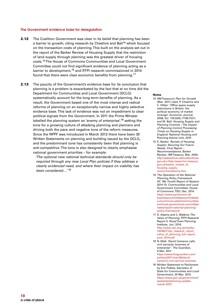#### **The Government evidence base for deregulation**

- **2.12** The Coalition Government was clear in its belief that planning has been a barrier to growth, citing research by Cheshire and Ball<sup>14</sup> which focused on the transaction costs of planning. This built on the analysis set out in the report of the Barker Review of Housing Supply that the restriction of land supply through planning was the greatest driver of housing costs.15The House of Commons Communities and Local Government Committee could not find significant evidence of planning acting as a barrier to development,<sup>16</sup> and RTPI research commissioned in 2014 found that there were clear economic benefits from planning.17
- **2.13** The paucity of the Government's evidence base for its conclusion that planning is a problem is exacerbated by the fact that at no time did the Department for Communities and Local Government (DCLG) systematically account for the long-term benefits of planning. As a result, the Government based one of the most intense and radical reforms of planning on an exceptionally narrow and highly selective evidence base. This lack of evidence was not an impediment to clear political signals from the Government. In 2011 the Prime Minster labelled the planning system an 'enemy of enterprise',<sup>18</sup> setting the tone for a growing culture of attacking planning and planners and driving both the pace and negative tone of the reform measures. Since the NPPF was introduced in March 2012 there have been 30 Written Statements on planning and building issued by the DCLG, and the predominant tone has consistently been that planning is anti-competitive. The tone is also designed to clearly emphasise national government priorities – for example:

'The optional new national technical standards should only be required through any new Local Plan policies if they address a clearly evidenced need, and where their impact on viability has been considered…' 19

- 14 HM Treasury's Plan for Growth (Mar. 2011) cited: P. Cheshire and C. Hilber: 'Office space supply restrictions in Britain: the political economy of market revenge'. Economic Journal, 2008, Vol. 118 (529), F185-F221; and M. Ball: Housing Supply and Planning Controls – The Impact of Planning Control Processing Times on Housing Supply in England. National Housing and Planning Advice Unit, 2010
- 15 K. Barker: Review of Housing Supply: Securing Our Future Needs. Final Report – Recommendations. Barker Review. HM Treasury, Mar. 2004. http://webarchive.nationalarchives. gov.uk/+/http:/www.hm-treasury. gov.uk/barker\_review\_of\_ housing\_supply\_ recommendations.htm
- 16 The Operation of the National Planning Policy Framework. HC 190. Fourth Report of Session 2014-15. Communities and Local Government Committee. House of Commons. TSO, Dec. 2014. https://www.parliament.uk/ business/committees/committeesa-z/commons-select/communitiesand-local-government-committee/ news/report-national-planningpolicy-framework/
- 17 D. Adams and C. Watkins:The Value of Planning. RTPI Research Report 5. Royal Town Planning Institute, Jun. 2014. http://www.rtpi.org.uk/media/ 1024627/rtpi\_research\_report value\_of\_planning\_full\_report\_ june\_2014.pdf
- 18 N. Watt: 'David Cameron calls civil servants 'enemies of enterprise''. The Guardian, 6 Mar. 2011. https://www.theguardian.com/ politics/2011/mar/06/david-
- cameron-civil-service-enemies 19 Written Statement to Parliament by Eric Pickles, Secretary of State for Communities and Local Government, 25 Mar. 2015. https://www.gov.uk/government/ speeches/planning-updatemarch-2015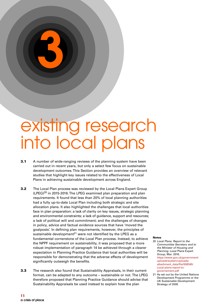## existing research into local plans

**3**

- **3.1** A number of wide-ranging reviews of the planning system have been carried out in recent years, but only a select few focus on sustainable development outcomes. This Section provides an overview of relevant studies that highlight key issues related to the effectiveness of Local Plans in achieving sustainable development across England.
- **3.2** The Local Plan process was reviewed by the Local Plans Expert Group  $(LPEG)^{20}$  in 2015-2016. The LPEG examined plan preparation and plan requirements. It found that less than 20% of local planning authorities had a fully up-to-date Local Plan including both strategic and site allocation plans. It also highlighted the challenges that local authorities face in plan preparation: a lack of clarity on key issues, strategic planning and environmental constraints; a lack of guidance, support and resources; a lack of political will and commitment; and the challenges of changes in policy, advice and factual evidence sources that have 'moved the goalposts'. In defining plan requirements, however, the principles of sustainable development $^{21}$  were not identified by the LPEG as a fundamental cornerstone of the Local Plan process. Instead, to achieve the NPPF requirement on sustainability, it was proposed that a more robust implementation of paragraph 14 be achieved through a clearer expectation in Planning Practice Guidance that local authorities will be responsible for demonstrating that the adverse effects of development significantly outweigh the benefits.
- **3.3** The research also found that Sustainability Appraisals, in their current format, can be adapted to any outcome – sustainable or not. The LPEG therefore proposed that Planning Practice Guidance should advise that Sustainability Appraisals be used instead to explain how the plan

- 20 Local Plans. Report to the Communities Secretary and to the Minister of Housing and Planning. Local Plans Expert Group, Mar. 2016. https://www.gov.uk/government/ uploads/system/uploads/ attachment\_data/file/508345/ Local-plans-report-togovernement.pdf
- 21 As set out by the United Nations Development Programme or the UK Sustainable Development Strategy of 2005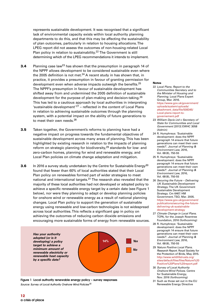represents sustainable development. It was recognised that a significant lack of environmental capacity exists within local authority planning departments to do this, and that this may be affecting the sustainability of plan outcomes, particularly in relation to housing allocations. The LPEG report did not assess the outcomes of non-housing-related Local Plan policy in relation to sustainability.<sup>22</sup> The Government is still determining which of the LPEG recommendations it intends to implement.

- **3.4** Planning case law<sup>23</sup> has shown that the presumption in paragraph 14 of the NPPF allows development to be considered sustainable even where the 2005 definition is not met.<sup>24</sup> A recent study in has shown that, in practice, it provides a presumption in favour of granting permission for development even when adverse impacts outweigh the benefits.<sup>25</sup> The NPPF's presumption in favour of sustainable development has shifted away from and undermined the 2005 definition of sustainable development for the purpose of plan-making and decision-taking.<sup>26</sup> This has led to a cautious approach by local authorities in interpreting 'sustainable development' $27$  – reflected in the content of Local Plans in relation to achieving sustainable outcomes through the planning system, with a potential impact on the ability of future generations to to meet their own needs.<sup>28</sup>
- **3.5** Taken together, the Government's reforms to planning have had a negative impact on progress towards the fundamental objectives of sustainable development across many areas of planning. This has been highlighted by existing research in relation to the impacts of planning reform on strategic planning for biodiversity,<sup>29</sup> standards for low- and zero-carbon homes, planning for wind and renewable energy, and Local Plan policies on climate change adaptation and mitigation.
- **3.6** In 2016 a survey study undertaken by the Centre for Sustainable Energy<sup>30</sup> found that fewer than 60% of local authorities stated that their Local Plan policy on renewables formed part of wider strategies to meet national and international targets.<sup>31</sup> The research also revealed that the majority of these local authorities had not developed or adopted policy to achieve a specific renewable energy target by a certain date (see Figure 1 below), nor were they planning to adapt or develop planning policies for onshore wind or renewable energy as a result of national planning changes. Local Plan policy to support the generation of sustainable energy using renewable and low-carbon technologies is not widespread across local authorities. This reflects a significant gap in policy on achieving the outcomes of reducing carbon dioxide emissions and encouraging more sustainable forms of energy from renewable sources.



**Figure 1 Local authority renewable energy policy – survey responses** Source: Survey of Local Authority Onshore Wind Policies<sup>32</sup>

- 22 Local Plans. Report to the Communities Secretary and to the Minister of Housing and Planning. Local Plans Expert Group, Mar. 2016. https://www.gov.uk/government/ uploads/system/uploads/ attachment\_data/file/508345/ Local-plans-report-togovernement.pdf
- 23 William Davis Ltd v Secretary of State for Communities and Local Government [2013] EWHC 3058 (Admin)
- 24 R. Humphreys: 'Sustainable development: does the NPPF paragraph 14 ensure that future generations can meet their own needs?'. Journal of Planning & Environment Law, 2016, Vol. 68(8), 750-55
- 25 R. Humphreys: 'Sustainable development: does the NPPF paragraph 14 ensure that future generations can meet their own needs?'. Journal of Planning & Environment Law, 2016, Vol. 68(8), 750-55
- 26 Securing the Future Delivering UK Sustainable Development Strategy. The UK Government Sustainable Development Strategy. Cm 6467. HM Government. TSO, Mar. 2005. https://www.gov.uk/government/ publications/securing-the-futuredelivering-uk-sustainabledevelopment-strategy
- 27 Climate Change in Local Plans. TCPA, for the Joseph Rowntree Foundation, 2016 (forthcoming)
- 28 R. Humphreys: 'Sustainable development: does the NPPF paragraph 14 ensure that future generations can meet their own needs?'. Journal of Planning & Environment Law, 2016, Vol. 68(8), 750-55
- 29 Nature Positive Local Plans. Research Report. Royal Society for the Protection of Birds, May 2015. http://www.wildlifetrusts.org/ sites/default/files/files/Nature%20 Positive%20Plans%20report.pdf
- 30 Survey of Local Authority Onshore Wind Polices. Centre for Sustainable Energy, Nov. 2016 (forthcoming)
- 31 Such as those set out in the EU Renewable Energy Directive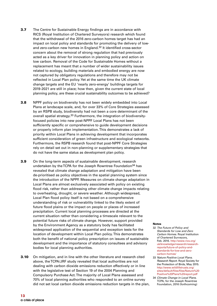- **3.7** The Centre for Sustainable Energy findings are in accordance with RICS (Royal Institution of Chartered Surveyors) research which found that the withdrawal of the 2016 zero-carbon homes target has had an impact on local policy and standards for promoting the delivery of lowand zero-carbon new homes in England.<sup>32</sup> It identified cross-sector concern about the removal of strong regulation that had previously acted as a key driver for innovation in planning policy and action on low carbon. Removal of the Code for Sustainable Homes without a replacement has meant that a number of wider sustainability issues related to ecology, building materials and embodied energy are now not captured by obligatory regulations and therefore may not be reflected in Local Plan policy. Yet at the same time the UK climate change targets and the EU 'nearly zero-energy' buildings targets for 2019-2021 are still in place; how then, given the current state of local planning policy, are these crucial sustainability outcomes to be achieved?
- **3.8** NPPF policy on biodiversity has not been widely embedded into Local Plans at landscape scale, and, for over 33% of Core Strategies assessed by an RSPB study, biodiversity had not been a core determinant of the overall spatial strategy.<sup>33</sup> Furthermore, the integration of biodiversityfocused policies into new post-NPPF Local Plans has not been sufficiently specific or comprehensive to guide development decisions or properly inform plan implementation. This demonstrates a lack of priority within Local Plans in achieving development that incorporates sufficient consideration of green infrastructure and ecological networks. Furthermore, the RSPB research found that post-NPPF Core Strategies rely on detail set out in non-planning or supplementary strategies that do not have the same status as development plan policy.
- **3.9** On the long-term aspects of sustainable development, research undertaken by the TCPA for the Joseph Rowntree Foundation<sup>34</sup> has revealed that climate change adaptation and mitigation have been de-prioritised as policy objectives in the spatial planning system since the introduction of the NPPF. Measures on climate change adaptation in Local Plans are almost exclusively associated with policy on existing flood risk, rather than addressing other climate change impacts relating to overheating, drought, or severe weather. Although widespread, Local Plan flood policy itself is not based on a comprehensive understanding of risk or vulnerability linked to the likely extent of future flood plains or the impact on people or places of increased precipitation. Current local planning processes are directed at the current situation rather than considering a timescale relevant to the potential future risks of climate change. However, support provided by the Environment Agency as a statutory body has facilitated widespread application of the sequential and exception tests for the location of development within Local Plan policy. This demonstrates both the benefit of national policy prescription on issues of sustainable development and the importance of statutory consultees and advisory bodies for local planning authorities.
- **3.10** On mitigation, and in line with the other literature and research cited above, the TCPA/JRF study revealed that local authorities are not dealing with carbon dioxide emissions reduction effectively or in line with the legislative test of Section 19 of the 2004 Planning and Compulsory Purchase Act. The majority of Local Plans assessed and 70% of local planning authorities who responded to an online survey did not set local carbon dioxide emissions reduction targets in the plan,

- 32 The Future of Policy and Standards for Low and Zero Carbon Homes. Royal Institution of Chartered Surveyors, Feb. 2016. http://www.rics.org/ uk/knowledge/research/researchreports/future-of-policy-andstandards-for-low-and-zerocarbon-homes/
- 33 Nature Positive Local Plans. Research Report. Royal Society for the Protection of Birds, May 2015. http://www.wildlifetrusts.org/ sites/default/files/files/Nature%20 Positive%20Plans%20report.pdf
- 34 Climate Change in Local Plans. TCPA, for the Joseph Rowntree Foundation, 2016 (forthcoming)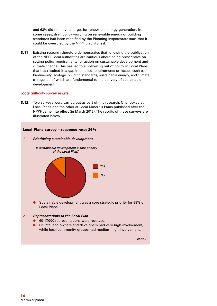and 63% did not have a target for renewable energy generation. In some cases, draft policy wording on renewable energy or building standards had been modified by the Planning Inspectorate such that it could be overruled by the NPPF viability test.

**3.11** Existing research therefore demonstrates that following the publication of the NPPF local authorities are cautious about being prescriptive on setting policy requirements for action on sustainable development and climate change. This has led to a hollowing out of policy in Local Plans that has resulted in a gap in detailed requirements on issues such as biodiversity, ecology, building standards, sustainable energy, and climate change, all of which are fundamental to the delivery of sustainable development.

#### **Local authority survey results**

**3.12** Two surveys were carried out as part of this research. One looked at Local Plans and the other at Local Minerals Plans published after the NPPF came into effect (in March 2012). The results of these surveys are illustrated below.



- 60-17,000 representations were received.
- Private land owners and developers had very high involvement, while local community groups had medium-high involvement.

**cont...**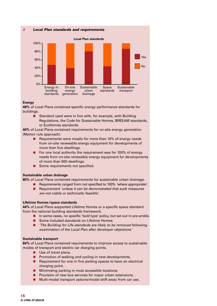**3 Local Plan standards and requirements**



#### **Energy**

**48%** of Local Plans contained specific energy performance standards for buildings.

● Standard used were in line with, for example, with Building Regulations, the Code for Sustainable Homes, BREEAM standards, or EcoHomes standards.

**40%** of Local Plans contained requirements for on-site energy generation (Merton rule approach).

- Requirements were mostly for more than 10% of energy needs from on-site renewable energy equipment for developments of more than five dwellings.
- For one local authority the requirement was for 100% of energy needs from on-site renewable energy equipment for developments of more than 500 dwellings.
- Some requirements not specified.

#### **Sustainable urban drainage**

**80%** of Local Plans contained requirements for sustainable urban drainage.

- Requirements ranged from not specified to 100% 'where appropriate'.
- Requirement 'unless it can be demonstrated that such measures are not viable or technically feasible'.

#### **Lifetime Homes/space standards**

**44%** of Local Plans supported Lifetime Homes or a specific space standard from the national building standards framework.

- In some cases, no specific 'bold type' policy, but set out in pre-amble.
- Some included standards on Lifetime Homes.
- The Building for Life standards are likely to be removed following examination of the Local Plan after developer objections.'

#### **Sustainable transport**

**84%** of Local Plans contained requirements to improve access to sustainable modes of transport and electric car charging points.

- Use of travel plans.
- Promotion of walking and cycling in new developments.
- Requirement for one in five parking spaces to have an electrical charging point.
- Minimising parking in most accessible locations.
- Provision of new bus services for major urban extensions.
- Multi-modal transport options/modal shift away from car use.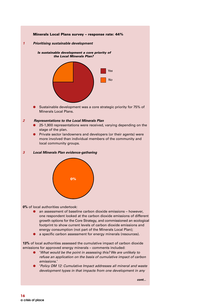

**1 Prioritising sustainable development**





Sustainable development was a core strategic priority for 75% of Minerals Local Plans.

#### **2 Representations to the Local Minerals Plan**

- 25-1,900 representations were received, varying depending on the stage of the plan.
- Private sector landowners and developers (or their agents) were more involved than individual members of the community and local community groups.

#### **3 Local Minerals Plan evidence-gathering**



**0%** of local authorities undertook:

- an assessment of baseline carbon dioxide emissions however, one respondent looked at the carbon dioxide emissions of different growth options for the Core Strategy, and commissioned an ecological footprint to show current levels of carbon dioxide emissions and energy consumption (not part of the Minerals Local Plan);
- a specific carbon assessment for energy minerals (resources).

**13%** of local authorities assessed the cumulative impact of carbon dioxide emissions for approved energy minerals – comments included:

- 'What would be the point in assessing this? We are unlikely to refuse an application on the basis of cumulative impact of carbon emissions.'
- 'Policy DM 12: Cumulative Impact addresses all mineral and waste development types in that impacts from one development in any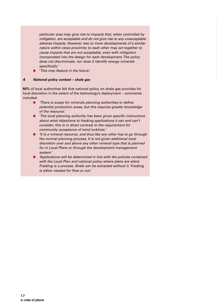particular area may give rise to impacts that, when controlled by mitigation, are acceptable and do not give rise to any unacceptable adverse impacts. However, two or more developments of a similar nature within close proximity to each other may act together to cause impacts that are not acceptable, even with mitigation incorporated into the design for each development. The policy does not discriminate, nor does it identify energy minerals specifically.'

'This may feature in the future.'

#### **4 National policy context – shale gas**

**50%** of local authorities felt that national policy on shale gas provides for local discretion in the extent of the technology's deployment – comments included:

- 'There is scope for minerals planning authorities to define potential production areas, but this requires greater knowledge of the resource.'
- 'The local planning authority has been given specific instructions about what objections to fracking applications it can and can't consider; this is in direct contrast to the requirement for community acceptance of wind turbines.'
- 'It is a mineral resource, and thus like any other has to go through the normal planning process. It is not given additional local discretion over and above any other mineral type that is planned for in Local Plans or through the development management system.'
- 'Applications will be determined in line with the policies contained with the Local Plan and national policy where plans are silent. Fracking is a process. Shale can be extracted without it. Fracking is either needed for flow or not.'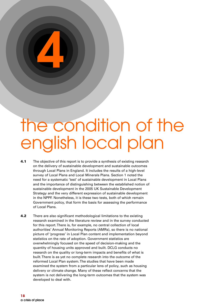# **4**

## the condition of the english local plan

- **4.1** The objective of this report is to provide a synthesis of existing research on the delivery of sustainable development and sustainable outcomes through Local Plans in England. It includes the results of a high-level survey of Local Plans and Local Minerals Plans. Section 1 noted the need for a systematic 'test' of sustainable development in Local Plans and the importance of distinguishing between the established notion of sustainable development in the 2005 UK Sustainable Development Strategy and the very different expression of sustainable development in the NPPF. Nonetheless, it is these two tests, both of which remain Government policy, that form the basis for assessing the performance of Local Plans.
- **4.2** There are also significant methodological limitations to the existing research examined in the literature review and in the survey conducted for this report. There is, for example, no central collection of local authorities' Annual Monitoring Reports (AMRs), so there is no national picture of 'progress' in Local Plan content and implementation beyond statistics on the rate of adoption. Government statistics are overwhelmingly focused on the speed of decision-making and the quantity of housing units approved and built. DCLG conducts no research on the quality or long-term impacts and benefits of what is built. There is as yet no complete research into the outcome of the reformed Local Plan system. The studies that have been made examined the system from a particular lens of policy, such as housing delivery or climate change. Many of these reflect concerns that the system is not delivering the long-term outcomes that the system was developed to deal with.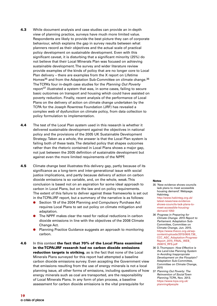- **4.3** While document analysis and case studies can provide an in-depth view of planning practice, surveys have much more limited value. Respondents are likely to provide the best picture they can of corporate behaviour, which explains the gap in survey results between what planners record as their objectives and the actual scale of practical policy development on sustainable development. Even with this significant caveat, it is disturbing that a significant minority (25%) do not believe that their Local Minerals Plan was focused on achieving sustainable development. The survey and wider literature review provide examples of the kinds of policy that are no longer core to Local Plan delivery – there are examples from the X report on Lifetime Homes<sup>35</sup> and from the Adaptation Sub-Committee on climate change.<sup>36</sup> The TCPA's four in-depth case studies for the Planning Out Poverty report<sup>37</sup> illustrated a system that was, in some cases, failing to secure basic outcomes on transport and housing which could have assisted on poverty reduction. Finally, recent analysis of the performance of Local Plans on the delivery of action on climate change undertaken by the TCPA for the Joseph Rowntree Foundation (JRF) has revealed a complex web of dysfunction on climate policy, from data collection to policy formulation to implementation.
- **4.4** The test of the Local Plan system used in this research is whether it delivered sustainable development against the objectives in national policy and the provisions of the 2005 UK Sustainable Development Strategy. Taken as a whole, the answer is that the Local Plan system is failing both of these tests. The detailed policy that shapes outcomes rather than the rhetoric contained in Local Plans shows a major gap, not just between the 2005 definition of sustainable development but against even the more limited requirements of the NPPF.
- **4.5** Climate change best illustrates this delivery gap, partly because of its significance as a long-term and inter-generational issue with social justice implications, and partly because delivery of action on carbon dioxide emissions is so variable, and, on the whole, weak. This conclusion is based not on an aspiration for some ideal approach to carbon in Local Plans, but on the law and on policy requirements. The extent of this failure to deliver against these frameworks is set out in the TCPA/JRF report, but a summary of the narrative is as follows:
	- Section 19 of the 2004 Planning and Compulsory Purchase Act requires Local Plans to set out policy on climate mitigation and adaptation.
	- The NPPF makes clear the need for radical reductions in carbon dioxide emissions in line with the objectives of the 2008 Climate Change Act.
	- Planning Practice Guidance suggests an approach to monitoring carbon.
- **4.6** In this context **the fact that 70% of the Local Plans examined in the TCPA/JRF research had no carbon dioxide emissions reduction targets is striking**, as is the fact that none of the Local Minerals Plans surveyed for this report had attempted a baseline carbon dioxide emissions survey. Even accepting the Government view that emissions resulting from the use of energy minerals is not a local planning issue, all other forms of emissions, including questions of how energy minerals such as coal are transported, are the responsibility of Local Minerals Plans. In any form of plan process, a baseline assessment for carbon dioxide emissions is the vital prerequisite for

- 35 'New evidence shows councils lack plans to meet accessible housing demand'. Webpage. Habinteg. http://www.habinteg.org.uk/ latest-news/new-evidenceshows-councils-lack-plans-tomeet-accessible-housingdemand-1050
- 36 Progress in Preparing for Climate Change. 2015 Report to Parliament. Adaptation Sub-Committee, Committee on Climate Change, Jun. 2015. https://www.theccc.org.uk/wpcontent/uploads/2015/06/6.736\_ CCC\_ASC\_Adaptation-Progress-Report\_2015\_FINAL\_WEB\_ 250615\_RFS.pdf
- 36 D. Thompson: How Effective is the Land-Use Planning System in Avoiding Inappropriate Development on the Flooplain? Adaptation Sub-Committee, Committee on Climate Change, 2015
- 37 Planning Out Poverty: The Reinvention of Social Town Planning. TCPA, Nov. 2013. https://www.tcpa.org.uk/ planning4people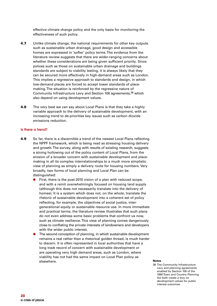effective climate change policy and the only basis for monitoring the effectiveness of such policy.

- **4.7** Unlike climate change, the national requirements for other key outputs such as sustainable urban drainage, good design and accessible homes are expressed in 'softer' policy terms. The evidence from the literature review suggests that there are wider-ranging concerns about whether these considerations are being given sufficient priority. Since polices such as those on sustainable urban drainage and buildings standards are subject to viability testing, it is always likely that they can be secured more effectively in high-demand areas such as London. This implies a regressive approach to standards and design, in which low-demand places are forced to accept lower standards of placemaking. The situation is reinforced by the regressive nature of Community Infrastructure Levy and Section 106 agreements, <sup>38</sup> which also depend on using development values.
- **4.8** The very best we can say about Local Plans is that they take a highly variable approach to the delivery of sustainable development, with an increasing trend to de-prioritise key issues such as carbon dioxide emissions reduction.

#### **Is there a trend?**

- **4.9** So far, there is a discernible a trend of the newest Local Plans reflecting the NPPF framework, which is being read as stressing housing delivery and growth. The survey, along with results of existing research, suggests a strong hollowing out of the policy content of Local Plans, from the erosion of a broader concern with sustainable development and placemaking in all its complex interrelationships to a much more simplistic view of planning as simply a delivery route for housing numbers. Very broadly, two forms of local planning and Local Plan can be distinguished:
	- First, there is the post-2010 vision of a plan with reduced scope, and with a remit overwhelmingly focused on housing land supply (although this does not necessarily translate into the delivery of homes). It is a system which does not, on the whole, translate the rhetoric of sustainable development into a coherent set of policy reflecting, for example, the objectives of social justice, intergenerational equity or sustainable resource use. In more immediate and practical terms, the literature review illustrates that such plans do not even address some basic problems that confront us now, such as climate resilience. This view of planning comes dangerously close to conflating the private interests of landowners and developers with the wider public interest.
	- The second conception of planning, in which sustainable development remains a real rather than a rhetorical golden thread, is much harder to discern. It is often represented in local authorities that have a long track record of concern with sustainable development or are operating very high demand areas, such as London, where viability has not had the same impact on Local Plan policy as elsewhere. **Notes**

38 The Community Infrastructure Levy and planning agreements enabled by Section 106 of the 1990 Town and Country Planning Act both create a levy on development values for public interest outcomes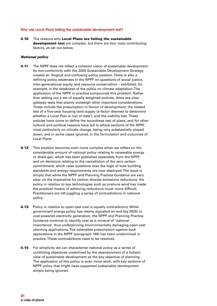#### **Why are Local Plans failing the sustainable development test?**

**4.10** The reasons why **Local Plans are failing the sustainable development test** are complex, but there are four main contributing factors, as set out below.

#### **National policy**

- **4.11** The NPPF does not reflect a coherent vision of sustainable development. Its non-conformity with the 2005 Sustainable Development Strategy creates an illogical and confusing policy position. There is also a defining policy weakness in the NPPF on questions of social justice, inter-generational equity and resource conservation – exhibited, for example, in the weakness of the policy on climate adaptation. The application of the NPPF in practice compounds this problem. Rather than setting out a set of equally weighted policies, there are clear gateway tests that plainly outweigh other important considerations. These include the presumption in favour of development, the related test of a five-year housing land supply (a factor deemed to determine whether a Local Plan is 'out of date'), and the viability test. These policies have come to define the soundness test of plans, and for other cultural and political reasons have led to whole sections of the NPPF, most particularly on climate change, being very substantially played down, and in some cases ignored, in the formulation and outcomes of Local Plans.
- **4.12** This position becomes even more complex when we reflect on the considerable amount of national policy relating to renewable energy or shale gas, which has been published separately from the NPPF, and on decisions relating to the cancellation of the zero-carbon commitment, which raise questions over the logic of how building standards and energy requirements are now deployed. The issue is simply that while the NPPF and Planning Practice Guidance are very clear on the imperative for carbon dioxide emissions reductions, the policy in relation to key technologies such as onshore wind has made the practical means of achieving reductions much more difficult. Practitioners are left juggling a series of contradictions in national policy.
- **4.13** Policy in relation to open-cast coal is equally contradictory. While government energy policy has clearly signalled an end (by 2025) to coal-powered electricity generation, the NPPF and Planning Practice Guidance continue to identify coal as a mineral of 'national importance', thus underpinning environmentally damaging open-cast planning applications. The ostensible presumption against such applications in the NPPF (paragraph 149) has been undermined in practice. These contradictions need to be resolved.
- **4.14** For simplicity we can characterise national policy as a series of conflicting objectives underlined by the abandonment of a holistic view of sustainable development as the key objective of planning. The application of this policy is even more stark, with key sections of NPPF policy that might have supported sustainable development simply being ignored.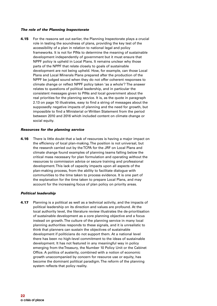#### **The role of the Planning Inspectorate**

**4.15** For the reasons set out earlier, the Planning Inspectorate plays a crucial role in testing the soundness of plans, providing the key test of the accessibility of a plan in relation to national legal and policy frameworks. It is not for PINs to determine the meaning of sustainable development independently of government but it must ensure that NPPF policy is upheld in Local Plans. It remains unclear why those parts of the NPPF that relate closely to goals of sustainable development are not being upheld. How, for example, can those Local Plans and Local Minerals Plans prepared after the production of the NPPF be judged sound when they do not offer coherent responses to climate change or reflect NPPF policy taken 'as a whole'? The answer relates to questions of political leadership, and in particular the consistent messages given to PINs and local government about the real priorities for the planning service. It is, as the quote in paragraph 2.13 on page 10 illustrates, easy to find a string of messages about the supposedly negative impacts of planning and the need for growth, but impossible to find a Ministerial or Written Statement from the period between 2010 and 2016 which included content on climate change or social equity.

#### **Resources for the planning service**

**4.16** There is little doubt that a lack of resources is having a major impact on the efficiency of local plan-making. The position is not universal, but the research carried out by the TCPA for the JRF on Local Plans and climate change found examples of planning teams falling below the critical mass necessary for plan formulation and operating without the resources to commission advice or secure training and professional development. This lack of capacity impacts upon all aspects of the plan-making process, from the ability to facilitate dialogue with communities to the time taken to process evidence. It is one part of the explanation for the time taken to prepare Local Plans, and may account for the increasing focus of plan policy on priority areas.

#### **Political leadership**

**4.17** Planning is a political as well as a technical activity, and the impacts of political leadership on its direction and values are profound. At the local authority level, the literature review illustrates the de-prioritisation of sustainable development as a core planning objective and a focus instead on growth. The culture of the planning service in many local planning authorities responds to these signals, and it is unrealistic to think that planners can sustain the objectives of sustainable development if politicians do not support them. At a national level there has been no high-level commitment to the ideas of sustainable development. It has not featured in any meaningful way in policy emerging from the Treasury, the Number 10 Policy Unit or the Cabinet Office. A politics of austerity, combined with a notion of economic growth unaccompanied by concern for resource use or equity, has become the dominant political paradigm. The reform of the planning system reflects that policy reality.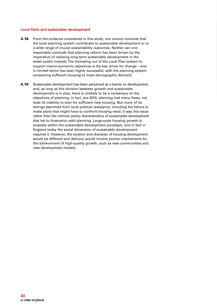#### **Local Plans and sustainable development**

- **4.18** From the evidence considered in this study, one cannot conclude that the local planning system contributes to sustainable development or to a wide range of crucial sustainability outcomes. Neither can one reasonably conclude that planning reform has been driven by the imperative of realising long-term sustainable development in the wider public interest. The hollowing out of the Local Plan system to support macro-economic objectives is the key driver for change – and in limited terms has been highly successful, with the planning system consenting sufficient housing to meet demographic demand.
- **4.19** Sustainable development has been perceived as a barrier to development, and, as long as this division between growth and sustainable development is in play, there is unlikely to be a consensus on the objectives of planning. In fact, pre-2010, planning had many flaws, not least its inability to plan for sufficient new housing. But many of its failings stemmed from local political resistance, including the failure to make plans that might have to confront housing need. It was this issue rather than the intrinsic policy characteristics of sustainable development that led to frustration with planning. Large-scale housing growth is possible within the sustainable development paradigm, and in fact in England today the social dimension of sustainable development requires it. However, the location and character of housing development would be different and delivery would involve proven mechanisms for the achievement of high-quality growth, such as new communities and new development models.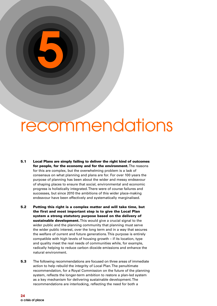## recommendations

**5.1 Local Plans are simply failing to deliver the right kind of outcomes for people, for the economy and for the environment.**The reasons for this are complex, but the overwhelming problem is a lack of consensus on what planning and plans are for. For over 100 years the purpose of planning has been about the wider and messy endeavour of shaping places to ensure that social, environmental and economic progress is holistically integrated. There were of course failures and successes, but since 2010 the ambitions of this wider place-making endeavour have been effectively and systematically marginalised.

**5**

- **5.2 Putting this right is a complex matter and will take time, but the first and most important step is to give the Local Plan system a strong statutory purpose based on the delivery of sustainable development.**This would give a crucial signal to the wider public and the planning community that planning must serve the wider public interest, over the long term and in a way that secures the welfare of current and future generations. This purpose is entirely compatible with high levels of housing growth – if its location, type and quality meet the real needs of communities while, for example, radically helping to reduce carbon dioxide emissions and enhance the natural environment.
- **5.3** The following recommendations are focused on three areas of immediate action to help rebuild the integrity of Local Plan. The penultimate recommendation, for a Royal Commission on the future of the planning system, reflects the longer-term ambition to restore a plan-led system as a key mechanism for delivering sustainable development. The recommendations are interlocking, reflecting the need for both a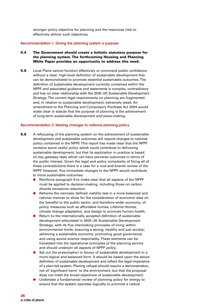stronger policy objective for planning and the resources vital to effectively deliver such objectives.

#### **Recommendation 1: Giving the planning system a purpose**

- **5.4 The Government should create a holistic statutory purpose for the planning system. The forthcoming Housing and Planning White Paper provides an opportunity to address this need.**
- **5.5** Local Plans cannot function effectively or command public confidence without a clear, high-level definition of sustainable development that can be demonstrated to promote essential sustainable outcomes. The definition of sustainable development currently contained within the NPPF and associated guidance and statements is complex, contradictory and has no clear relationship with the 2005 UK Sustainable Development Strategy. The current legal requirements on planning are fragmented and, in relation to sustainable development, extremely weak. An amendment to the Planning and Compulsory Purchase Act 2004 would make clear in statute that the purpose of planning is the achievement of long-term sustainable development and place-making.

#### **Recommendation 2: Making changes to national planning policy**

- **5.6** A refocusing of the planning system on the achievement of sustainable development and sustainable outcomes will require changes to national policy contained in the NPPF. This report has made clear that the NPPF contains some useful policy which could contribute to delivering sustainable development, but that its application in practice is based on key gateway tests which can have perverse outcomes in terms of the public interest. Given the legal and policy complexity of fixing all of these contradictions there is a case for a root-and-branch review of the NPPF. However, five immediate changes to the NPPF would contribute to more sustainable outcomes:
	- Reinforce paragraph 6 to make clear that all aspects of the NPPF must be applied to decision-making, including those on carbon dioxide emissions reduction.
	- Reframe the narrowly defined viability test in a more balanced and rational manner to allow for the consideration of economic data on the benefits to the public sector, and therefore wider economy, of policy measures such as affordable homes, Lifetime Homes, climate change adaptation, and design to promote human health.
	- Return to the internationally accepted definition of sustainable development articulated in 2005 UK Sustainable Development Strategy, with its five interlocking principles of living within environmental limits; ensuring a strong, healthy and just society; achieving a sustainable economy; promoting good governance; and using sound science responsibly. These elements can be translated into the operational principles of the planning service and should underpin all aspects of NPPF policy.
	- Set out the presumption in favour of sustainable development in a more logical and balanced form. It should be based upon the above definition of sustainable development and reflect the legal imperative of a plan-led system. Planing refusal should require a demonstration, not of 'significant harm' to the environment, but that the proposal does not meet the broad objectives of sustainable development.
	- Undertake a fundamental review of planning policy for energy to ensure that the system operates logically to promote a radical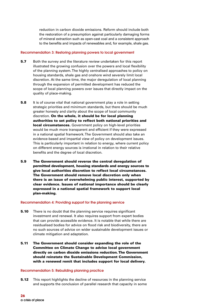reduction in carbon dioxide emissions. Reform should include both the restoration of a presumption against particularly damaging forms of mineral extraction such as open-cast coal and a consistent approach to the benefits and impacts of renewables and, for example, shale gas.

#### **Recommendation 3: Restoring planning powers to local government**

- **5.7** Both the survey and the literature review undertaken for this report illustrated the growing confusion over the powers and local flexibility of the planning system. The highly centralised approaches to policy on housing standards, shale gas and onshore wind severely limit local discretion. At the same time, the major deregulation of local planning through the expansion of permitted development has reduced the scope of local planning powers over issues that directly impact on the quality of place-making.
- **5.8** It is of course vital that national government play a role in setting strategic priorities and minimum standards, but there should be much greater honesty and clarity about the scope of local community discretion. **On the whole, it should be for local planning authorities to set policy to reflect both national priorities and local circumstances.** Government policy on high-level priorities would be much more transparent and efficient if they were expressed in a national spatial framework. The Government should also take an evidence-based and impartial view of policy on development issues. This is particularly important in relation to energy, where current policy on different energy sources is irrational in relation to their relative benefits and the degree of local discretion.
- **5.9 The Government should reverse the central deregulation of permitted development, housing standards and energy sources to give local authorities discretion to reflect local circumstances. The Government should remove local discretion only when there is an issue of overwhelming public interest, supported by clear evidence. Issues of national importance should be clearly expressed in a national spatial framework to support local plan-making.**

#### **Recommendation 4: Providing support for the planning service**

- **5.10** There is no doubt that the planning service requires significant investment and renewal. It also requires support from expert bodies that can provide accessible evidence. It is notable that while there are residualised bodies for advice on flood risk and biodiversity, there are no such sources of advice on wider sustainable development issues or climate mitigation and adaptation.
- **5.11 The Government should consider expanding the role of the Committee on Climate Change to advise local government directly on carbon dioxide emissions reduction. The Government should reinstate the Sustainable Development Commission, with a renewed remit that includes support for local delivery.**

#### **Recommendation 5: Rebuilding planning practice**

**5.12** This report highlights the decline of resources in the planning service and supports the conclusion of parallel research that capacity in some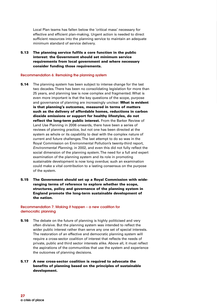Local Plan teams has fallen below the 'critical mass' necessary for effective and efficient plan-making. Urgent action is needed to direct sufficient resources into the planning service to maintain an adequate minimum standard of service delivery.

**5.13 The planning service fulfils a core function in the public interest: the Government should set minimum service requirements from local government and where necessary consider funding those requirements.**

#### **Recommendation 6: Remaking the planning system**

- **5.14** The planning system has been subject to intense change for the last two decades. There has been no consolidating legislation for more than 25 years, and planning law is now complex and fragmented. What is even more important is that the key questions of the scope, purpose and governance of planning are increasingly unclear. **What is evident is that planning's outcomes, measured in terms of matters such as the delivery of affordable homes, reductions in carbon dioxide emissions or support for healthy lifestyles, do not reflect the long-term public interest.** From the Barker Review of Land Use Planning in 2006 onwards, there have been a series of reviews of planning practice, but not one has been directed at the system as whole or its capability to deal with the complex nature of current and future challenges. The last attempt to do so was in the Royal Commission on Environmental Pollution's twenty-third report, Environmental Planning, in 2002, and even this did not fully reflect the social dimension of the planning system. The need for a full and expert examination of the planning system and its role in promoting sustainable development is now long overdue; such an examination could make a vital contribution to a lasting consensus on the purpose of the system.
- **5.15 The Government should set up a Royal Commission with wideranging terms of reference to explore whether the scope, structures, policy and governance of the planning system in England promote the long-term sustainable development of the nation.**

#### **Recommendation 7: Making it happen – a new coalition for democratic planning**

- **5.16** The debate on the future of planning is highly politicised and very often divisive. But the planning system was intended to reflect the wider public interest rather than serve any one set of special interests. The restoration of an effective and democratic planning system will require a cross-sector coalition of interest that reflects the needs of private, public and third sector interests alike. Above all, it must reflect the aspirations of the communities that use the system and experience the outcomes of planning decisions.
- **5.17 A new cross-sector coalition is required to advocate the benefits of planning based on the principles of sustainable development.**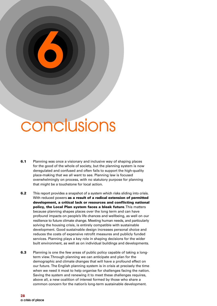## conclusions

**6**

- **6.1** Planning was once a visionary and inclusive way of shaping places for the good of the whole of society, but the planning system is now deregulated and confused and often fails to support the high-quality place-making that we all want to see. Planning law is focused overwhelmingly on process, with no statutory purpose for planning that might be a touchstone for local action.
- **6.2** This report provides a snapshot of a system which risks sliding into crisis. With reduced powers **as a result of a radical extension of permitted development, a critical lack or resources and conflicting national policy, the Local Plan system faces a bleak future**. This matters because planning shapes places over the long term and can have profound impacts on people's life chances and wellbeing, as well on our resilience to future climate change. Meeting human needs, and particularly solving the housing crisis, is entirely compatible with sustainable development. Good sustainable design increases personal choice and reduces the costs of expensive retrofit measures and publicly funded services. Planning plays a key role in shaping decisions for the wider built environment, as well as on individual buildings and developments.
- **6.3** Planning is one the few areas of public policy capable of taking a longterm view. Through planning we can anticipate and plan for the demographic and climate changes that will have a profound effect on our future. The English planning system is in crisis at precisely the time when we need it most to help organise for challenges facing the nation. Saving the system and renewing it to meet these challenges requires, above all, a new coalition of interest formed by those who share a common concern for the nation's long-term sustainable development.